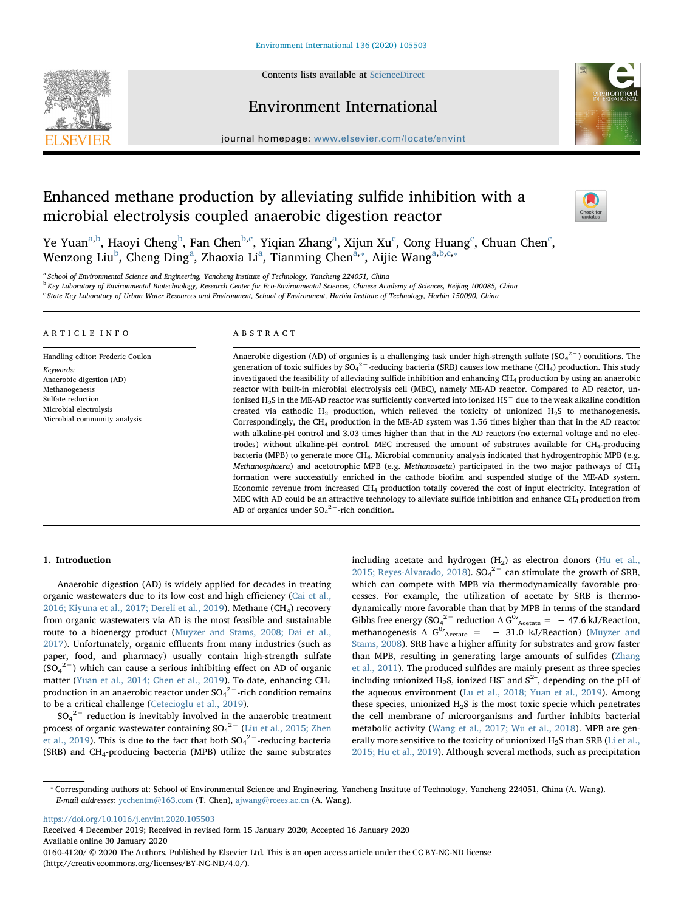

# Environment International



journal homepage: [www.elsevier.com/locate/envint](https://www.elsevier.com/locate/envint)

# Enhanced methane production by alleviating sulfide inhibition with a microbial electrolysis coupled anaerobic digestion reactor



Ye Yu[a](#page-0-0)n $\rm^{a,b}$  $\rm^{a,b}$  $\rm^{a,b}$ , Haoyi Cheng $\rm^b$  $\rm^b$ , Fan Chen $\rm^{b,c}$  $\rm^{b,c}$  $\rm^{b,c}$ , Yiqian Zhang $\rm^a$ , Xijun Xu $\rm^c$ , Cong Huang $\rm^c$ , Chuan Chen $\rm^c$ , Wenzong Liu<sup>[b](#page-0-1)</sup>, Cheng Ding<sup>[a](#page-0-0)</sup>, Zhaoxia Li<sup>a</sup>, Tianming Chen<sup>[a,](#page-0-0)</sup>\*, Aijie Wang<sup>a[,b,](#page-0-1)[c,](#page-0-2)\*</sup>

<span id="page-0-0"></span><sup>a</sup> School of Environmental Science and Engineering, Yancheng Institute of Technology, Yancheng 224051, China

<span id="page-0-1"></span><sup>b</sup> Key Laboratory of Environmental Biotechnology, Research Center for Eco-Environmental Sciences, Chinese Academy of Sciences, Beijing 100085, China

<span id="page-0-2"></span><sup>c</sup> State Key Laboratory of Urban Water Resources and Environment, School of Environment, Harbin Institute of Technology, Harbin 150090, China

### ARTICLE INFO

Handling editor: Frederic Coulon Keywords: Anaerobic digestion (AD) Methanogenesis Sulfate reduction Microbial electrolysis Microbial community analysis

## ABSTRACT

Anaerobic digestion (AD) of organics is a challenging task under high-strength sulfate (SO<sub>4</sub><sup>2-</sup>) conditions. The generation of toxic sulfides by SO<sub>4</sub><sup>2−</sup>-reducing bacteria (SRB) causes low methane (CH<sub>4</sub>) production. This study investigated the feasibility of alleviating sulfide inhibition and enhancing CH4 production by using an anaerobic reactor with built-in microbial electrolysis cell (MEC), namely ME-AD reactor. Compared to AD reactor, unionized H2S in the ME-AD reactor was sufficiently converted into ionized HS<sup>−</sup> due to the weak alkaline condition created via cathodic  $H_2$  production, which relieved the toxicity of unionized  $H_2S$  to methanogenesis. Correspondingly, the  $CH_4$  production in the ME-AD system was 1.56 times higher than that in the AD reactor with alkaline-pH control and 3.03 times higher than that in the AD reactors (no external voltage and no electrodes) without alkaline-pH control. MEC increased the amount of substrates available for CH4-producing bacteria (MPB) to generate more CH<sub>4</sub>. Microbial community analysis indicated that hydrogentrophic MPB (e.g. Methanosphaera) and acetotrophic MPB (e.g. Methanosaeta) participated in the two major pathways of CH4 formation were successfully enriched in the cathode biofilm and suspended sludge of the ME-AD system. Economic revenue from increased CH4 production totally covered the cost of input electricity. Integration of MEC with AD could be an attractive technology to alleviate sulfide inhibition and enhance  $CH_4$  production from AD of organics under  $SO_4^2$ <sup>-</sup>-rich condition.

# 1. Introduction

Anaerobic digestion (AD) is widely applied for decades in treating organic wastewaters due to its low cost and high efficiency [\(Cai et al.,](#page-8-0) [2016; Kiyuna et al., 2017; Dereli et al., 2019](#page-8-0)). Methane (CH<sub>4</sub>) recovery from organic wastewaters via AD is the most feasible and sustainable route to a bioenergy product ([Muyzer and Stams, 2008; Dai et al.,](#page-9-0) [2017\)](#page-9-0). Unfortunately, organic effluents from many industries (such as paper, food, and pharmacy) usually contain high-strength sulfate  $(SO<sub>4</sub><sup>2–</sup>)$  which can cause a serious inhibiting effect on AD of organic matter ([Yuan et al., 2014; Chen et al., 2019](#page-9-1)). To date, enhancing CH<sub>4</sub> production in an anaerobic reactor under SO $_4^{2-}$ -rich condition remains to be a critical challenge [\(Cetecioglu et al., 2019\)](#page-8-1).

 $SO_4^2$ <sup>-</sup> reduction is inevitably involved in the anaerobic treatment process of organic wastewater containing  $SO_4^2$ <sup>-</sup> [\(Liu et al., 2015; Zhen](#page-8-2) [et al., 2019](#page-8-2)). This is due to the fact that both  $SO_4^2$ <sup>-</sup>-reducing bacteria (SRB) and CH4-producing bacteria (MPB) utilize the same substrates including acetate and hydrogen  $(H<sub>2</sub>)$  as electron donors ([Hu et al.,](#page-8-3) [2015; Reyes-Alvarado, 2018](#page-8-3)).  $SO_4^2$ <sup>-</sup> can stimulate the growth of SRB, which can compete with MPB via thermodynamically favorable processes. For example, the utilization of acetate by SRB is thermodynamically more favorable than that by MPB in terms of the standard Gibbs free energy (SO<sub>4</sub><sup>2-</sup> reduction  $\Delta G^0$ <sup>2</sup> Acetate = -47.6 kJ/Reaction, methanogenesis  $\Delta G^0$ <sub>Acetate</sub> = - 31.0 kJ/Reaction) ([Muyzer and](#page-9-0) [Stams, 2008](#page-9-0)). SRB have a higher affinity for substrates and grow faster than MPB, resulting in generating large amounts of sulfides ([Zhang](#page-9-2) [et al., 2011\)](#page-9-2). The produced sulfides are mainly present as three species including unionized  $H_2S$ , ionized HS<sup>-</sup> and S<sup>2-</sup>, depending on the pH of the aqueous environment ([Lu et al., 2018; Yuan et al., 2019](#page-8-4)). Among these species, unionized  $H_2S$  is the most toxic specie which penetrates the cell membrane of microorganisms and further inhibits bacterial metabolic activity [\(Wang et al., 2017; Wu et al., 2018](#page-9-3)). MPB are gen-erally more sensitive to the toxicity of unionized H<sub>2</sub>S than SRB ([Li et al.,](#page-8-5) [2015; Hu et al., 2019](#page-8-5)). Although several methods, such as precipitation

<https://doi.org/10.1016/j.envint.2020.105503>

Received 4 December 2019; Received in revised form 15 January 2020; Accepted 16 January 2020 Available online 30 January 2020

0160-4120/ © 2020 The Authors. Published by Elsevier Ltd. This is an open access article under the CC BY-NC-ND license (http://creativecommons.org/licenses/BY-NC-ND/4.0/).

<span id="page-0-3"></span><sup>⁎</sup> Corresponding authors at: School of Environmental Science and Engineering, Yancheng Institute of Technology, Yancheng 224051, China (A. Wang). E-mail addresses: [ycchentm@163.com](mailto:ycchentm@163.com) (T. Chen), [ajwang@rcees.ac.cn](mailto:ajwang@rcees.ac.cn) (A. Wang).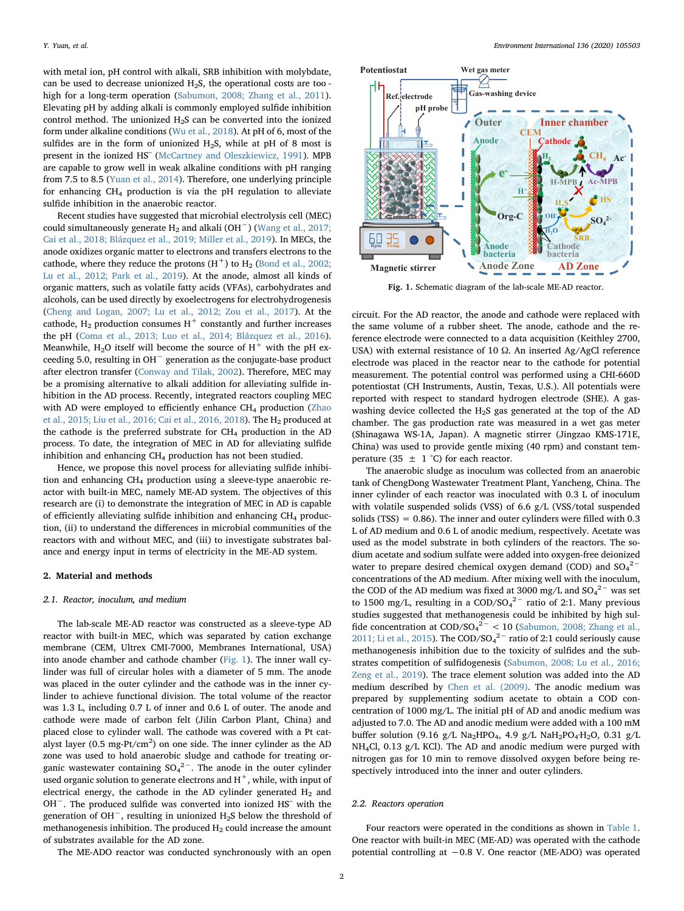with metal ion, pH control with alkali, SRB inhibition with molybdate, can be used to decrease unionized H2S, the operational costs are too high for a long-term operation ([Sabumon, 2008; Zhang et al., 2011](#page-9-4)). Elevating pH by adding alkali is commonly employed sulfide inhibition control method. The unionized  $H_2S$  can be converted into the ionized form under alkaline conditions [\(Wu et al., 2018](#page-9-5)). At pH of 6, most of the sulfides are in the form of unionized H<sub>2</sub>S, while at pH of 8 most is present in the ionized HS– [\(McCartney and Oleszkiewicz, 1991](#page-9-6)). MPB are capable to grow well in weak alkaline conditions with pH ranging from 7.5 to 8.5 ([Yuan et al., 2014\)](#page-9-1). Therefore, one underlying principle for enhancing  $CH_4$  production is via the pH regulation to alleviate sulfide inhibition in the anaerobic reactor.

Recent studies have suggested that microbial electrolysis cell (MEC) could simultaneously generate H<sub>2</sub> and alkali (OH<sup>-</sup>) [\(Wang et al., 2017;](#page-9-3) [Cai et al., 2018; Blázquez et al., 2019; Miller et al., 2019\)](#page-9-3). In MECs, the anode oxidizes organic matter to electrons and transfers electrons to the cathode, where they reduce the protons  $(H<sup>+</sup>)$  to  $H<sub>2</sub>$  ([Bond et al., 2002;](#page-8-6) [Lu et al., 2012; Park et al., 2019](#page-8-6)). At the anode, almost all kinds of organic matters, such as volatile fatty acids (VFAs), carbohydrates and alcohols, can be used directly by exoelectrogens for electrohydrogenesis ([Cheng and Logan, 2007; Lu et al., 2012; Zou et al., 2017\)](#page-8-7). At the cathode,  $H_2$  production consumes  $H^+$  constantly and further increases the pH [\(Coma et al., 2013; Luo et al., 2014; Blázquez et al., 2016](#page-8-8)). Meanwhile,  $H_2O$  itself will become the source of  $H^+$  with the pH exceeding 5.0, resulting in OH<sup>−</sup> generation as the conjugate-base product after electron transfer [\(Conway and Tilak, 2002\)](#page-8-9). Therefore, MEC may be a promising alternative to alkali addition for alleviating sulfide inhibition in the AD process. Recently, integrated reactors coupling MEC with AD were employed to efficiently enhance CH<sub>4</sub> production [\(Zhao](#page-9-7) [et al., 2015; Liu et al., 2016; Cai et al., 2016, 2018](#page-9-7)). The H2 produced at the cathode is the preferred substrate for CH4 production in the AD process. To date, the integration of MEC in AD for alleviating sulfide inhibition and enhancing  $CH_4$  production has not been studied.

Hence, we propose this novel process for alleviating sulfide inhibition and enhancing CH4 production using a sleeve-type anaerobic reactor with built-in MEC, namely ME-AD system. The objectives of this research are (i) to demonstrate the integration of MEC in AD is capable of efficiently alleviating sulfide inhibition and enhancing  $CH<sub>4</sub>$  production, (ii) to understand the differences in microbial communities of the reactors with and without MEC, and (iii) to investigate substrates balance and energy input in terms of electricity in the ME-AD system.

### 2. Material and methods

### 2.1. Reactor, inoculum, and medium

The lab-scale ME-AD reactor was constructed as a sleeve-type AD reactor with built-in MEC, which was separated by cation exchange membrane (CEM, Ultrex CMI-7000, Membranes International, USA) into anode chamber and cathode chamber ([Fig. 1](#page-1-0)). The inner wall cylinder was full of circular holes with a diameter of 5 mm. The anode was placed in the outer cylinder and the cathode was in the inner cylinder to achieve functional division. The total volume of the reactor was 1.3 L, including 0.7 L of inner and 0.6 L of outer. The anode and cathode were made of carbon felt (Jilin Carbon Plant, China) and placed close to cylinder wall. The cathode was covered with a Pt catalyst layer (0.5 mg-Pt/cm<sup>2</sup>) on one side. The inner cylinder as the AD zone was used to hold anaerobic sludge and cathode for treating organic wastewater containing  ${SO_4}^{2-}$ . The anode in the outer cylinder used organic solution to generate electrons and  $H^+$ , while, with input of electrical energy, the cathode in the AD cylinder generated  $H_2$  and OH−. The produced sulfide was converted into ionized HS– with the generation of OH<sup>−</sup>, resulting in unionized H2S below the threshold of methanogenesis inhibition. The produced  $H_2$  could increase the amount of substrates available for the AD zone.

The ME-ADO reactor was conducted synchronously with an open

<span id="page-1-0"></span>

Fig. 1. Schematic diagram of the lab-scale ME-AD reactor.

circuit. For the AD reactor, the anode and cathode were replaced with the same volume of a rubber sheet. The anode, cathode and the reference electrode were connected to a data acquisition (Keithley 2700, USA) with external resistance of 10 Ω. An inserted Ag/AgCl reference electrode was placed in the reactor near to the cathode for potential measurement. The potential control was performed using a CHI-660D potentiostat (CH Instruments, Austin, Texas, U.S.). All potentials were reported with respect to standard hydrogen electrode (SHE). A gaswashing device collected the H2S gas generated at the top of the AD chamber. The gas production rate was measured in a wet gas meter (Shinagawa WS-1A, Japan). A magnetic stirrer (Jingzao KMS-171E, China) was used to provide gentle mixing (40 rpm) and constant temperature (35  $\pm$  1 °C) for each reactor.

The anaerobic sludge as inoculum was collected from an anaerobic tank of ChengDong Wastewater Treatment Plant, Yancheng, China. The inner cylinder of each reactor was inoculated with 0.3 L of inoculum with volatile suspended solids (VSS) of 6.6 g/L (VSS/total suspended solids (TSS) =  $0.86$ ). The inner and outer cylinders were filled with  $0.3$ L of AD medium and 0.6 L of anodic medium, respectively. Acetate was used as the model substrate in both cylinders of the reactors. The sodium acetate and sodium sulfate were added into oxygen-free deionized water to prepare desired chemical oxygen demand (COD) and  $SO_4^2$ <sup>-</sup> concentrations of the AD medium. After mixing well with the inoculum, the COD of the AD medium was fixed at 3000 mg/L and  $SO_4^2$ <sup>-</sup> was set to 1500 mg/L, resulting in a COD/SO<sub>4</sub><sup>2-</sup> ratio of 2:1. Many previous studies suggested that methanogenesis could be inhibited by high sulfide concentration at  $\text{COD/SO}_4^2$ <sup>2</sup> < 10 [\(Sabumon, 2008; Zhang et al.,](#page-9-4) [2011; Li et al., 2015](#page-9-4)). The COD/SO $4^{2-}$  ratio of 2:1 could seriously cause methanogenesis inhibition due to the toxicity of sulfides and the substrates competition of sulfidogenesis [\(Sabumon, 2008; Lu et al., 2016;](#page-9-4) [Zeng et al., 2019\)](#page-9-4). The trace element solution was added into the AD medium described by [Chen et al. \(2009\).](#page-8-10) The anodic medium was prepared by supplementing sodium acetate to obtain a COD concentration of 1000 mg/L. The initial pH of AD and anodic medium was adjusted to 7.0. The AD and anodic medium were added with a 100 mM buffer solution (9.16 g/L Na<sub>2</sub>HPO<sub>4</sub>, 4.9 g/L NaH<sub>2</sub>PO<sub>4</sub>·H<sub>2</sub>O, 0.31 g/L NH4Cl, 0.13 g/L KCl). The AD and anodic medium were purged with nitrogen gas for 10 min to remove dissolved oxygen before being respectively introduced into the inner and outer cylinders.

### 2.2. Reactors operation

Four reactors were operated in the conditions as shown in [Table 1](#page-2-0). One reactor with built-in MEC (ME-AD) was operated with the cathode potential controlling at −0.8 V. One reactor (ME-ADO) was operated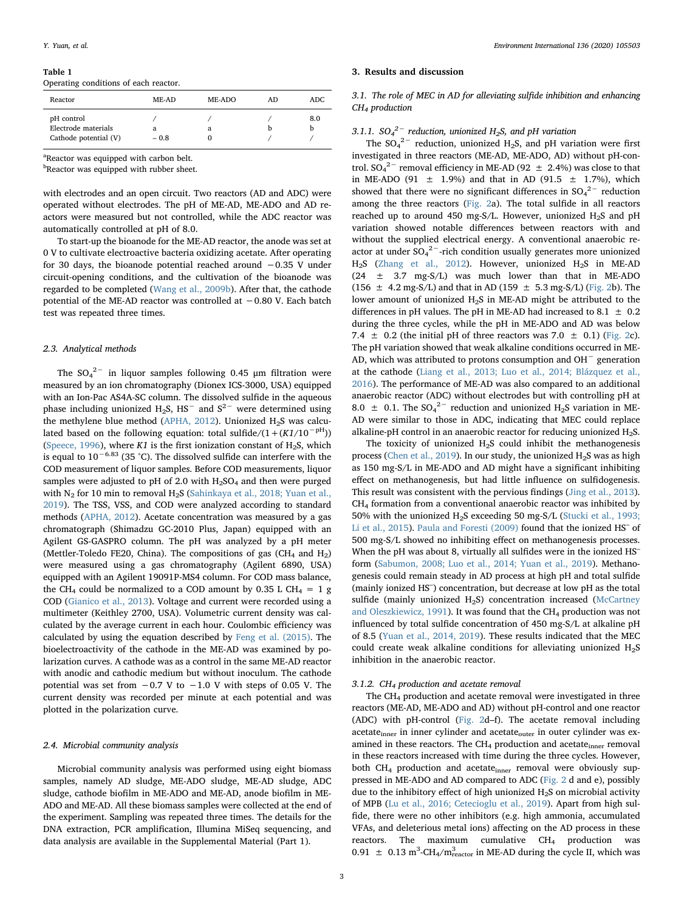### <span id="page-2-0"></span>Table 1

Operating conditions of each reactor.

| Reactor                                                    | ME-AD       | ME-ADO | AD | ADC. |
|------------------------------------------------------------|-------------|--------|----|------|
| pH control<br>Electrode materials<br>Cathode potential (V) | a<br>$-0.8$ | а      |    | 8.0  |

<sup>a</sup>Reactor was equipped with carbon belt.

<sup>b</sup>Reactor was equipped with rubber sheet.

with electrodes and an open circuit. Two reactors (AD and ADC) were operated without electrodes. The pH of ME-AD, ME-ADO and AD reactors were measured but not controlled, while the ADC reactor was automatically controlled at pH of 8.0.

To start-up the bioanode for the ME-AD reactor, the anode was set at 0 V to cultivate electroactive bacteria oxidizing acetate. After operating for 30 days, the bioanode potential reached around −0.35 V under circuit-opening conditions, and the cultivation of the bioanode was regarded to be completed ([Wang et al., 2009b\)](#page-9-8). After that, the cathode potential of the ME-AD reactor was controlled at −0.80 V. Each batch test was repeated three times.

# 2.3. Analytical methods

The  $SO_4^2$ <sup>-</sup> in liquor samples following 0.45  $\mu$ m filtration were measured by an ion chromatography (Dionex ICS-3000, USA) equipped with an Ion-Pac AS4A-SC column. The dissolved sulfide in the aqueous phase including unionized H<sub>2</sub>S, HS<sup> $-$ </sup> and S<sup>2</sup><sup> $-$ </sup> were determined using the methylene blue method ([APHA, 2012](#page-8-11)). Unionized  $H_2S$  was calculated based on the following equation: total sulfide/ $(1+(K1/10^{-pH}))$ ([Speece, 1996](#page-9-9)), where K1 is the first ionization constant of  $H_2S$ , which is equal to 10−6.83 (35 °C). The dissolved sulfide can interfere with the COD measurement of liquor samples. Before COD measurements, liquor samples were adjusted to pH of 2.0 with  $H_2SO_4$  and then were purged with  $N_2$  for 10 min to removal  $H_2S$  ([Sahinkaya et al., 2018; Yuan et al.,](#page-9-10) [2019\)](#page-9-10). The TSS, VSS, and COD were analyzed according to standard methods [\(APHA, 2012\)](#page-8-11). Acetate concentration was measured by a gas chromatograph (Shimadzu GC-2010 Plus, Japan) equipped with an Agilent GS-GASPRO column. The pH was analyzed by a pH meter (Mettler-Toledo FE20, China). The compositions of gas (CH<sub>4</sub> and H<sub>2</sub>) were measured using a gas chromatography (Agilent 6890, USA) equipped with an Agilent 19091P-MS4 column. For COD mass balance, the CH<sub>4</sub> could be normalized to a COD amount by 0.35 L CH<sub>4</sub> = 1 g COD [\(Gianico et al., 2013](#page-8-12)). Voltage and current were recorded using a multimeter (Keithley 2700, USA). Volumetric current density was calculated by the average current in each hour. Coulombic efficiency was calculated by using the equation described by [Feng et al. \(2015\)](#page-8-13). The bioelectroactivity of the cathode in the ME-AD was examined by polarization curves. A cathode was as a control in the same ME-AD reactor with anodic and cathodic medium but without inoculum. The cathode potential was set from  $-0.7$  V to  $-1.0$  V with steps of 0.05 V. The current density was recorded per minute at each potential and was plotted in the polarization curve.

### 2.4. Microbial community analysis

Microbial community analysis was performed using eight biomass samples, namely AD sludge, ME-ADO sludge, ME-AD sludge, ADC sludge, cathode biofilm in ME-ADO and ME-AD, anode biofilm in ME-ADO and ME-AD. All these biomass samples were collected at the end of the experiment. Sampling was repeated three times. The details for the DNA extraction, PCR amplification, Illumina MiSeq sequencing, and data analysis are available in the Supplemental Material (Part 1).

### 3. Results and discussion

# 3.1. The role of MEC in AD for alleviating sulfide inhibition and enhancing CH<sub>4</sub> production

# 3.1.1.  $SO_4^2$ <sup>-</sup> reduction, unionized H<sub>2</sub>S, and pH variation

The  $SO_4^2$ <sup>-</sup> reduction, unionized H<sub>2</sub>S, and pH variation were first investigated in three reactors (ME-AD, ME-ADO, AD) without pH-control.  $SO_4^2$ <sup>-</sup> removal efficiency in ME-AD (92  $\pm$  2.4%) was close to that in ME-ADO (91  $\pm$  1.9%) and that in AD (91.5  $\pm$  1.7%), which showed that there were no significant differences in  $SO_4^2$ <sup>-</sup> reduction among the three reactors ([Fig. 2](#page-3-0)a). The total sulfide in all reactors reached up to around 450 mg-S/L. However, unionized H<sub>2</sub>S and pH variation showed notable differences between reactors with and without the supplied electrical energy. A conventional anaerobic reactor at under  $SO_4^2$ <sup>-</sup>-rich condition usually generates more unionized  $H<sub>2</sub>S$  [\(Zhang et al., 2012](#page-9-11)). However, unionized  $H<sub>2</sub>S$  in ME-AD  $(24 \pm 3.7 \text{ mg-S/L})$  was much lower than that in ME-ADO  $(156 \pm 4.2 \text{ mg-S/L})$  and that in AD  $(159 \pm 5.3 \text{ mg-S/L})$  [\(Fig. 2b](#page-3-0)). The lower amount of unionized  $H_2S$  in ME-AD might be attributed to the differences in pH values. The pH in ME-AD had increased to 8.1  $\pm$  0.2 during the three cycles, while the pH in ME-ADO and AD was below 7.4  $\pm$  0.2 (the initial pH of three reactors was 7.0  $\pm$  0.1) [\(Fig. 2c](#page-3-0)). The pH variation showed that weak alkaline conditions occurred in ME-AD, which was attributed to protons consumption and OH<sup>−</sup> generation at the cathode ([Liang et al., 2013; Luo et al., 2014; Blázquez et al.,](#page-8-14) [2016\)](#page-8-14). The performance of ME-AD was also compared to an additional anaerobic reactor (ADC) without electrodes but with controlling pH at 8.0  $\pm$  0.1. The SO<sub>4</sub><sup>2-</sup> reduction and unionized H<sub>2</sub>S variation in ME-AD were similar to those in ADC, indicating that MEC could replace alkaline-pH control in an anaerobic reactor for reducing unionized  $H_2S$ .

The toxicity of unionized  $H_2S$  could inhibit the methanogenesis process ([Chen et al., 2019](#page-8-15)). In our study, the unionized  $H_2S$  was as high as 150 mg-S/L in ME-ADO and AD might have a significant inhibiting effect on methanogenesis, but had little influence on sulfidogenesis. This result was consistent with the pervious findings ([Jing et al., 2013](#page-8-16)). CH<sub>4</sub> formation from a conventional anaerobic reactor was inhibited by 50% with the unionized  $H_2S$  exceeding 50 mg-S/L ([Stucki et al., 1993;](#page-9-12) [Li et al., 2015\)](#page-9-12). [Paula and Foresti \(2009\)](#page-9-13) found that the ionized HS– of 500 mg-S/L showed no inhibiting effect on methanogenesis processes. When the pH was about 8, virtually all sulfides were in the ionized HS<sup>-</sup> form [\(Sabumon, 2008; Luo et al., 2014; Yuan et al., 2019\)](#page-9-4). Methanogenesis could remain steady in AD process at high pH and total sulfide (mainly ionized HS– ) concentration, but decrease at low pH as the total sulfide (mainly unionized  $H_2S$ ) concentration increased [\(McCartney](#page-9-6) [and Oleszkiewicz, 1991\)](#page-9-6). It was found that the  $CH_4$  production was not influenced by total sulfide concentration of 450 mg-S/L at alkaline pH of 8.5 [\(Yuan et al., 2014, 2019\)](#page-9-1). These results indicated that the MEC could create weak alkaline conditions for alleviating unionized  $H_2S$ inhibition in the anaerobic reactor.

### 3.1.2. CH<sub>4</sub> production and acetate removal

The CH4 production and acetate removal were investigated in three reactors (ME-AD, ME-ADO and AD) without pH-control and one reactor (ADC) with pH-control ([Fig. 2](#page-3-0)d–f). The acetate removal including  $\alpha$  acetate<sub>inner</sub> in inner cylinder and  $\alpha$  acetate<sub>outer</sub> in outer cylinder was examined in these reactors. The  $CH_4$  production and acetate<sub>inner</sub> removal in these reactors increased with time during the three cycles. However, both  $CH_4$  production and acetate<sub>inner</sub> removal were obviously suppressed in ME-ADO and AD compared to ADC [\(Fig. 2](#page-3-0) d and e), possibly due to the inhibitory effect of high unionized  $H_2S$  on microbial activity of MPB [\(Lu et al., 2016; Cetecioglu et al., 2019\)](#page-8-17). Apart from high sulfide, there were no other inhibitors (e.g. high ammonia, accumulated VFAs, and deleterious metal ions) affecting on the AD process in these reactors. The maximum cumulative  $CH<sub>4</sub>$  production was  $0.91 \pm 0.13 \text{ m}^3\text{-} \text{CH}_4/\text{m}_{\text{reactor}}^3$  in ME-AD during the cycle II, which was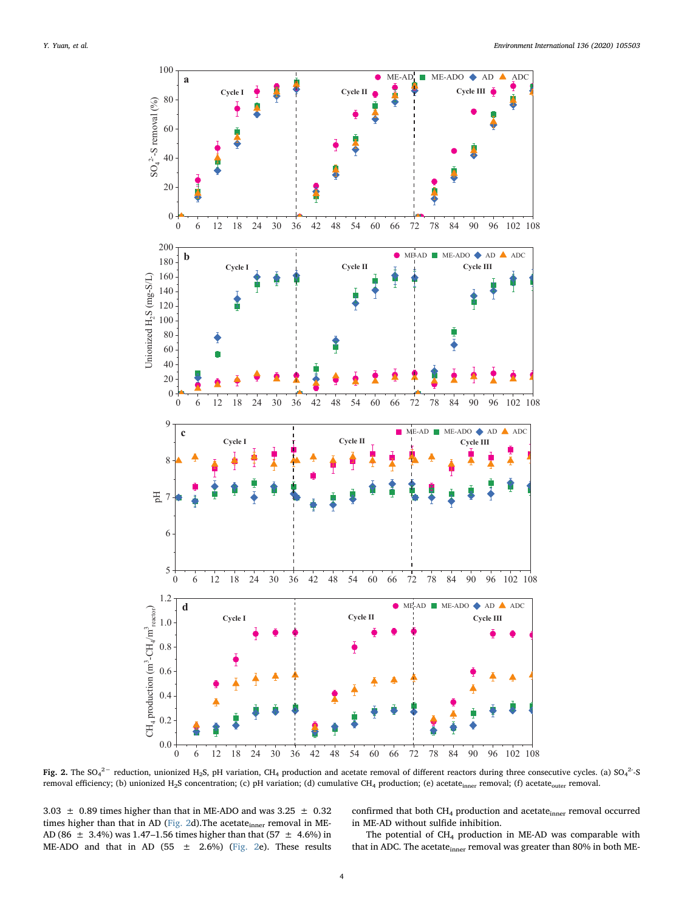<span id="page-3-0"></span>

Fig. 2. The SO<sub>4</sub><sup>2</sup> reduction, unionized H<sub>2</sub>S, pH variation, CH<sub>4</sub> production and acetate removal of different reactors during three consecutive cycles. (a) SO<sub>4</sub><sup>2</sup>-S removal efficiency; (b) unionized H<sub>2</sub>S concentration; (c) pH variation; (d) cumulative CH<sub>4</sub> production; (e) acetate<sub>inner</sub> removal; (f) acetate<sub>outer</sub> removal.

 $3.03 \pm 0.89$  times higher than that in ME-ADO and was  $3.25 \pm 0.32$ times higher than that in AD [\(Fig. 2](#page-3-0)d). The acetate $_{inner}$  removal in ME-AD (86  $\pm$  3.4%) was 1.47–1.56 times higher than that (57  $\pm$  4.6%) in ME-ADO and that in AD (55  $\pm$  2.6%) ([Fig. 2e](#page-3-0)). These results

confirmed that both  $CH_4$  production and acetate $_{\rm inner}$  removal occurred in ME-AD without sulfide inhibition.

The potential of  $CH_4$  production in ME-AD was comparable with that in ADC. The acetate<sub>inner</sub> removal was greater than 80% in both ME-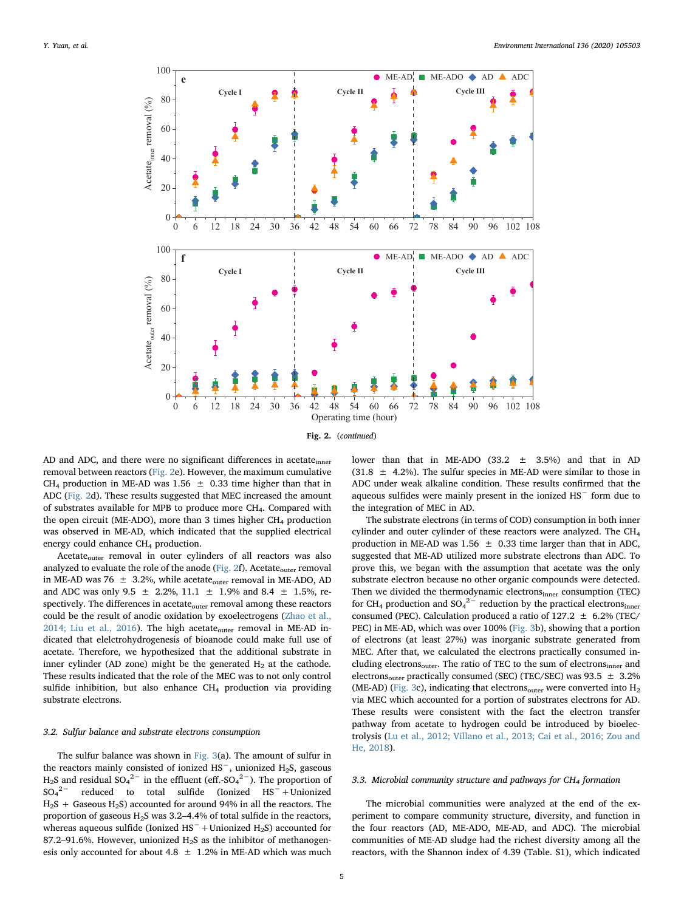

AD and ADC, and there were no significant differences in acetate<sub>inner</sub> removal between reactors ([Fig. 2](#page-3-0)e). However, the maximum cumulative CH<sub>4</sub> production in ME-AD was 1.56  $\pm$  0.33 time higher than that in ADC [\(Fig. 2](#page-3-0)d). These results suggested that MEC increased the amount of substrates available for MPB to produce more CH<sub>4</sub>. Compared with the open circuit (ME-ADO), more than 3 times higher  $CH<sub>4</sub>$  production was observed in ME-AD, which indicated that the supplied electrical energy could enhance  $CH<sub>4</sub>$  production.

 $Acetate<sub>outer</sub>$  removal in outer cylinders of all reactors was also analyzed to evaluate the role of the anode [\(Fig. 2f](#page-3-0)). Acetate $_{\text{outer}}$  removal in ME-AD was 76  $\pm$  3.2%, while acetate<sub>outer</sub> removal in ME-ADO, AD and ADC was only 9.5  $\pm$  2.2%, 11.1  $\pm$  1.9% and 8.4  $\pm$  1.5%, respectively. The differences in acetate<sub>outer</sub> removal among these reactors could be the result of anodic oxidation by exoelectrogens [\(Zhao et al.,](#page-9-14) [2014; Liu et al., 2016](#page-9-14)). The high acetate<sub>outer</sub> removal in ME-AD indicated that elelctrohydrogenesis of bioanode could make full use of acetate. Therefore, we hypothesized that the additional substrate in inner cylinder (AD zone) might be the generated  $H_2$  at the cathode. These results indicated that the role of the MEC was to not only control sulfide inhibition, but also enhance  $CH_4$  production via providing substrate electrons.

### 3.2. Sulfur balance and substrate electrons consumption

The sulfur balance was shown in [Fig. 3](#page-5-0)(a). The amount of sulfur in the reactors mainly consisted of ionized HS<sup>−</sup>, unionized H2S, gaseous H<sub>2</sub>S and residual SO<sub>4</sub><sup>2-</sup> in the effluent (eff.-SO<sub>4</sub><sup>2-</sup>). The proportion of  $SO_4^2$ <sup>-</sup> reduced to total sulfide (Ionized HS<sup>-</sup>+Unionized  $H<sub>2</sub>S$  + Gaseous  $H<sub>2</sub>S$ ) accounted for around 94% in all the reactors. The proportion of gaseous  $H_2S$  was 3.2–4.4% of total sulfide in the reactors, whereas aqueous sulfide (Ionized HS<sup>−</sup> + Unionized H<sub>2</sub>S) accounted for 87.2–91.6%. However, unionized  $H_2S$  as the inhibitor of methanogenesis only accounted for about 4.8  $\pm$  1.2% in ME-AD which was much

lower than that in ME-ADO (33.2  $\pm$  3.5%) and that in AD  $(31.8 \pm 4.2\%)$ . The sulfur species in ME-AD were similar to those in ADC under weak alkaline condition. These results confirmed that the aqueous sulfides were mainly present in the ionized HS<sup>−</sup> form due to the integration of MEC in AD.

The substrate electrons (in terms of COD) consumption in both inner cylinder and outer cylinder of these reactors were analyzed. The  $CH<sub>4</sub>$ production in ME-AD was 1.56  $\pm$  0.33 time larger than that in ADC, suggested that ME-AD utilized more substrate electrons than ADC. To prove this, we began with the assumption that acetate was the only substrate electron because no other organic compounds were detected. Then we divided the thermodynamic electronsinner consumption (TEC) for CH<sub>4</sub> production and SO<sub>4</sub><sup>2-</sup> reduction by the practical electrons<sub>inner</sub> consumed (PEC). Calculation produced a ratio of  $127.2 \pm 6.2\%$  (TEC/ PEC) in ME-AD, which was over 100% ([Fig. 3](#page-5-0)b), showing that a portion of electrons (at least 27%) was inorganic substrate generated from MEC. After that, we calculated the electrons practically consumed including electrons<sub>outer</sub>. The ratio of TEC to the sum of electrons<sub>inner</sub> and electrons<sub>outer</sub> practically consumed (SEC) (TEC/SEC) was 93.5  $\pm$  3.2% (ME-AD) ([Fig. 3c](#page-5-0)), indicating that electrons<sub>outer</sub> were converted into  $H_2$ via MEC which accounted for a portion of substrates electrons for AD. These results were consistent with the fact the electron transfer pathway from acetate to hydrogen could be introduced by bioelectrolysis ([Lu et al., 2012; Villano et al., 2013; Cai et al., 2016; Zou and](#page-8-18) [He, 2018](#page-8-18)).

# 3.3. Microbial community structure and pathways for  $CH_4$  formation

The microbial communities were analyzed at the end of the experiment to compare community structure, diversity, and function in the four reactors (AD, ME-ADO, ME-AD, and ADC). The microbial communities of ME-AD sludge had the richest diversity among all the reactors, with the Shannon index of 4.39 (Table. S1), which indicated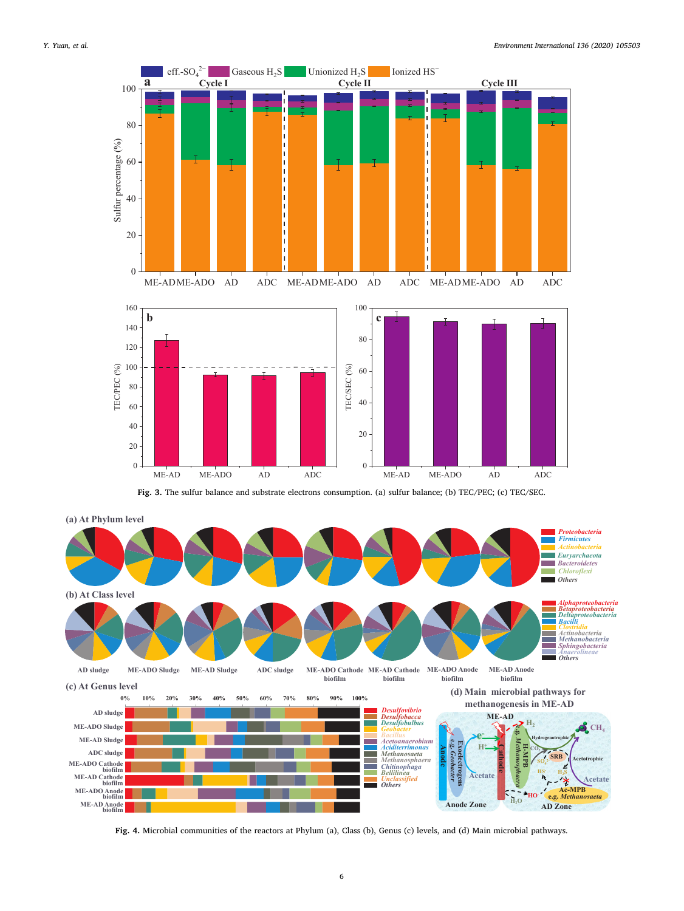<span id="page-5-0"></span>

Fig. 3. The sulfur balance and substrate electrons consumption. (a) sulfur balance; (b) TEC/PEC; (c) TEC/SEC.

<span id="page-5-1"></span>

Fig. 4. Microbial communities of the reactors at Phylum (a), Class (b), Genus (c) levels, and (d) Main microbial pathways.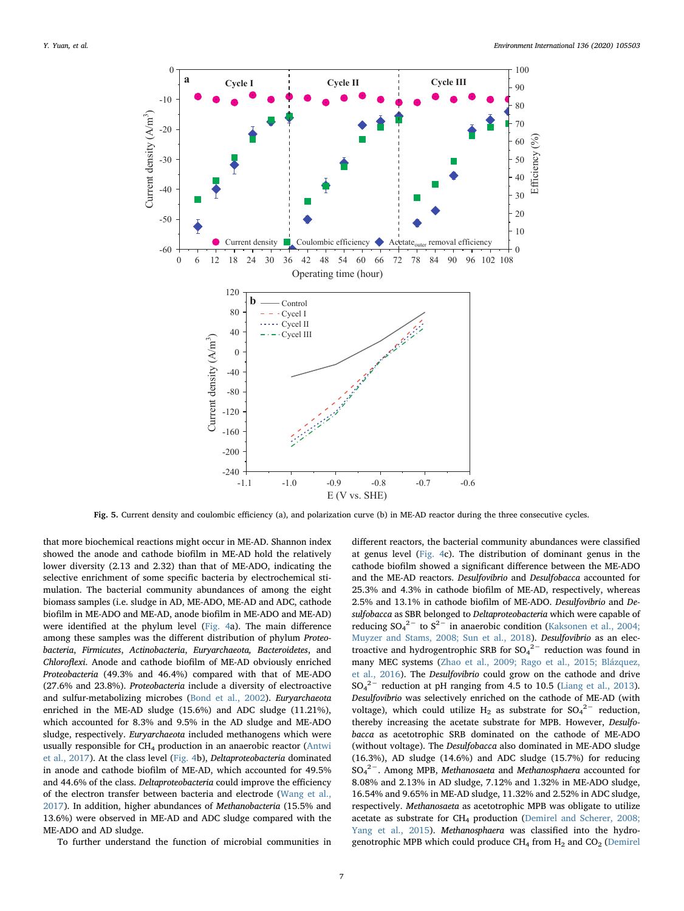<span id="page-6-0"></span>

Fig. 5. Current density and coulombic efficiency (a), and polarization curve (b) in ME-AD reactor during the three consecutive cycles.

that more biochemical reactions might occur in ME-AD. Shannon index showed the anode and cathode biofilm in ME-AD hold the relatively lower diversity (2.13 and 2.32) than that of ME-ADO, indicating the selective enrichment of some specific bacteria by electrochemical stimulation. The bacterial community abundances of among the eight biomass samples (i.e. sludge in AD, ME-ADO, ME-AD and ADC, cathode biofilm in ME-ADO and ME-AD, anode biofilm in ME-ADO and ME-AD) were identified at the phylum level ([Fig. 4a](#page-5-1)). The main difference among these samples was the different distribution of phylum Proteobacteria, Firmicutes, Actinobacteria, Euryarchaeota, Bacteroidetes, and Chloroflexi. Anode and cathode biofilm of ME-AD obviously enriched Proteobacteria (49.3% and 46.4%) compared with that of ME-ADO (27.6% and 23.8%). Proteobacteria include a diversity of electroactive and sulfur-metabolizing microbes ([Bond et al., 2002](#page-8-6)). Euryarchaeota enriched in the ME-AD sludge (15.6%) and ADC sludge (11.21%), which accounted for 8.3% and 9.5% in the AD sludge and ME-ADO sludge, respectively. Euryarchaeota included methanogens which were usually responsible for  $CH_4$  production in an anaerobic reactor [\(Antwi](#page-8-19) [et al., 2017](#page-8-19)). At the class level [\(Fig. 4](#page-5-1)b), Deltaproteobacteria dominated in anode and cathode biofilm of ME-AD, which accounted for 49.5% and 44.6% of the class. Deltaproteobacteria could improve the efficiency of the electron transfer between bacteria and electrode [\(Wang et al.,](#page-9-3) [2017\)](#page-9-3). In addition, higher abundances of Methanobacteria (15.5% and 13.6%) were observed in ME-AD and ADC sludge compared with the ME-ADO and AD sludge.

To further understand the function of microbial communities in

different reactors, the bacterial community abundances were classified at genus level [\(Fig. 4](#page-5-1)c). The distribution of dominant genus in the cathode biofilm showed a significant difference between the ME-ADO and the ME-AD reactors. Desulfovibrio and Desulfobacca accounted for 25.3% and 4.3% in cathode biofilm of ME-AD, respectively, whereas 2.5% and 13.1% in cathode biofilm of ME-ADO. Desulfovibrio and Desulfobacca as SBR belonged to Deltaproteobacteria which were capable of reducing  $SO_4^2$ <sup>-</sup> to  $S^2$ <sup>-</sup> in anaerobic condition ([Kaksonen et al., 2004;](#page-8-20) [Muyzer and Stams, 2008; Sun et al., 2018\)](#page-8-20). Desulfovibrio as an electroactive and hydrogentrophic SRB for  $SO_4^2$ <sup>-</sup> reduction was found in many MEC systems ([Zhao et al., 2009; Rago et al., 2015; Blázquez,](#page-9-15) [et al., 2016\)](#page-9-15). The Desulfovibrio could grow on the cathode and drive  $SO_4^2$ <sup>-</sup> reduction at pH ranging from 4.5 to 10.5 [\(Liang et al., 2013](#page-8-14)). Desulfovibrio was selectively enriched on the cathode of ME-AD (with voltage), which could utilize H<sub>2</sub> as substrate for  $SO_4^2$ <sup>-</sup> reduction, thereby increasing the acetate substrate for MPB. However, Desulfobacca as acetotrophic SRB dominated on the cathode of ME-ADO (without voltage). The Desulfobacca also dominated in ME-ADO sludge (16.3%), AD sludge (14.6%) and ADC sludge (15.7%) for reducing SO<sub>4</sub><sup>2</sup> –. Among MPB, Methanosaeta and Methanosphaera accounted for 8.08% and 2.13% in AD sludge, 7.12% and 1.32% in ME-ADO sludge, 16.54% and 9.65% in ME-AD sludge, 11.32% and 2.52% in ADC sludge, respectively. Methanosaeta as acetotrophic MPB was obligate to utilize acetate as substrate for CH<sub>4</sub> production [\(Demirel and Scherer, 2008;](#page-8-21) [Yang et al., 2015](#page-8-21)). Methanosphaera was classified into the hydrogenotrophic MPB which could produce  $CH_4$  from  $H_2$  and  $CO_2$  ([Demirel](#page-8-21)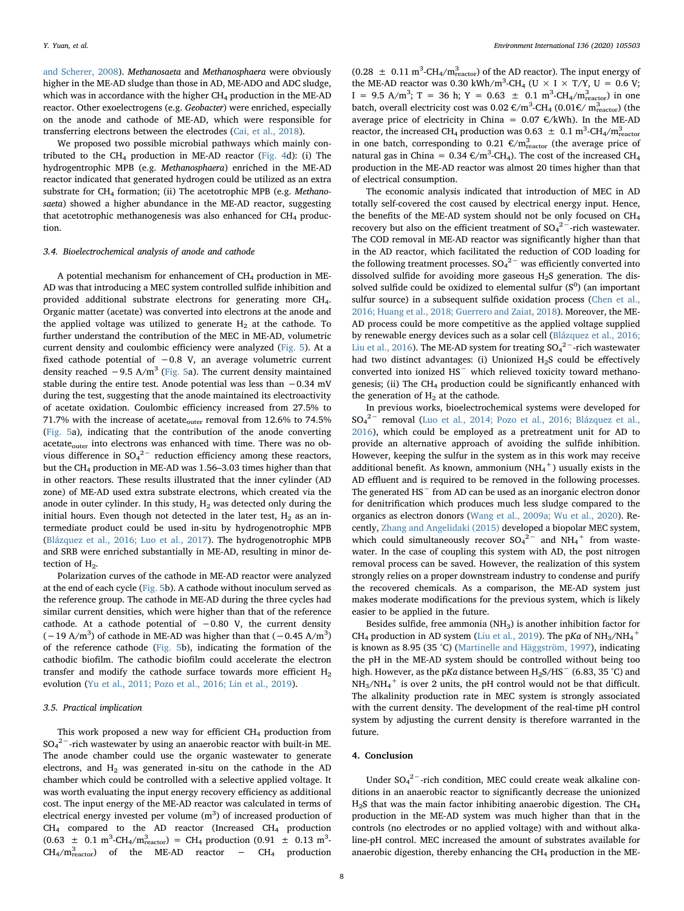[and Scherer, 2008](#page-8-21)). Methanosaeta and Methanosphaera were obviously higher in the ME-AD sludge than those in AD, ME-ADO and ADC sludge, which was in accordance with the higher  $CH<sub>4</sub>$  production in the ME-AD reactor. Other exoelectrogens (e.g. Geobacter) were enriched, especially on the anode and cathode of ME-AD, which were responsible for transferring electrons between the electrodes [\(Cai, et al., 2018\)](#page-8-22).

We proposed two possible microbial pathways which mainly con-tributed to the CH<sub>4</sub> production in ME-AD reactor ([Fig. 4d](#page-5-1)): (i) The hydrogentrophic MPB (e.g. Methanosphaera) enriched in the ME-AD reactor indicated that generated hydrogen could be utilized as an extra substrate for  $CH_4$  formation; (ii) The acetotrophic MPB (e.g. Methanosaeta) showed a higher abundance in the ME-AD reactor, suggesting that acetotrophic methanogenesis was also enhanced for  $CH<sub>4</sub>$  production.

# 3.4. Bioelectrochemical analysis of anode and cathode

A potential mechanism for enhancement of  $CH_4$  production in ME-AD was that introducing a MEC system controlled sulfide inhibition and provided additional substrate electrons for generating more CH4. Organic matter (acetate) was converted into electrons at the anode and the applied voltage was utilized to generate  $H_2$  at the cathode. To further understand the contribution of the MEC in ME-AD, volumetric current density and coulombic efficiency were analyzed ([Fig. 5](#page-6-0)). At a fixed cathode potential of −0.8 V, an average volumetric current density reached  $-9.5$  A/m<sup>3</sup> ([Fig. 5](#page-6-0)a). The current density maintained stable during the entire test. Anode potential was less than −0.34 mV during the test, suggesting that the anode maintained its electroactivity of acetate oxidation. Coulombic efficiency increased from 27.5% to 71.7% with the increase of acetate<sub>outer</sub> removal from 12.6% to 74.5% ([Fig. 5a](#page-6-0)), indicating that the contribution of the anode converting acetate<sub>outer</sub> into electrons was enhanced with time. There was no obvious difference in  $SO_4^2$ <sup>-</sup> reduction efficiency among these reactors, but the CH4 production in ME-AD was 1.56–3.03 times higher than that in other reactors. These results illustrated that the inner cylinder (AD zone) of ME-AD used extra substrate electrons, which created via the anode in outer cylinder. In this study,  $H_2$  was detected only during the initial hours. Even though not detected in the later test,  $H_2$  as an intermediate product could be used in-situ by hydrogenotrophic MPB ([Blázquez et al., 2016; Luo et al., 2017](#page-8-23)). The hydrogenotrophic MPB and SRB were enriched substantially in ME-AD, resulting in minor detection of  $H<sub>2</sub>$ .

Polarization curves of the cathode in ME-AD reactor were analyzed at the end of each cycle [\(Fig. 5b](#page-6-0)). A cathode without inoculum served as the reference group. The cathode in ME-AD during the three cycles had similar current densities, which were higher than that of the reference cathode. At a cathode potential of −0.80 V, the current density  $(-19 \text{ A/m}^3)$  of cathode in ME-AD was higher than that  $(-0.45 \text{ A/m}^3)$ of the reference cathode [\(Fig. 5](#page-6-0)b), indicating the formation of the cathodic biofilm. The cathodic biofilm could accelerate the electron transfer and modify the cathode surface towards more efficient  $H_2$ evolution ([Yu et al., 2011; Pozo et al., 2016; Lin et al., 2019](#page-9-16)).

# 3.5. Practical implication

This work proposed a new way for efficient  $CH_4$  production from  $\mathrm{SO_4}^{2-}$ -rich wastewater by using an anaerobic reactor with built-in ME. The anode chamber could use the organic wastewater to generate electrons, and  $H_2$  was generated in-situ on the cathode in the AD chamber which could be controlled with a selective applied voltage. It was worth evaluating the input energy recovery efficiency as additional cost. The input energy of the ME-AD reactor was calculated in terms of electrical energy invested per volume  $(m^3)$  of increased production of  $CH<sub>4</sub>$  compared to the AD reactor (Increased  $CH<sub>4</sub>$  production  $(0.63 \pm 0.1 \text{ m}^3\text{-CH}_4/\text{m}_{\text{reactor}}^3) = \text{CH}_4$  production  $(0.91 \pm 0.13 \text{ m}^3$  $CH_4/m_{\text{reactor}}^3$  of the ME-AD reactor − CH<sub>4</sub> production

 $(0.28 \pm 0.11 \text{ m}^3\text{-} \text{CH}_4/\text{m}_{\text{reactor}}^3)$  of the AD reactor). The input energy of the ME-AD reactor was 0.30 kWh/m<sup>3</sup>-CH<sub>4</sub> (U  $\times$  I  $\times$  T/Y, U = 0.6 V;  $I = 9.5$  A/m<sup>3</sup>; T = 36 h; Y = 0.63  $\pm$  0.1 m<sup>3</sup>-CH<sub>4</sub>/m<sub>reactor</sub>) in one batch, overall electricity cost was  $0.02 \text{ }\epsilon/m^3\text{-CH}_4 \text{ } (0.01 \epsilon/m^3\text{-} \text{er}_\text{reactor})$  (the average price of electricity in China =  $0.07 \text{ } \in/kWh$ ). In the ME-AD reactor, the increased CH<sub>4</sub> production was 0.63  $\pm$  0.1 m<sup>3</sup>-CH<sub>4</sub>/m<sub>reactor</sub> in one batch, corresponding to 0.21  $\epsilon/m_{\text{reactor}}^3$  (the average price of natural gas in China =  $0.34 \text{ }\epsilon/\text{m}^3\text{-CH}_4$ ). The cost of the increased CH<sub>4</sub> production in the ME-AD reactor was almost 20 times higher than that of electrical consumption.

The economic analysis indicated that introduction of MEC in AD totally self-covered the cost caused by electrical energy input. Hence, the benefits of the ME-AD system should not be only focused on  $CH<sub>4</sub>$ recovery but also on the efficient treatment of  $SO_4^2$ <sup>-</sup>-rich wastewater. The COD removal in ME-AD reactor was significantly higher than that in the AD reactor, which facilitated the reduction of COD loading for the following treatment processes.  $SO_4^2$ <sup>-</sup> was efficiently converted into dissolved sulfide for avoiding more gaseous  $H_2S$  generation. The dissolved sulfide could be oxidized to elemental sulfur  $(S^0)$  (an important sulfur source) in a subsequent sulfide oxidation process [\(Chen et al.,](#page-8-24) [2016; Huang et al., 2018; Guerrero and Zaiat, 2018](#page-8-24)). Moreover, the ME-AD process could be more competitive as the applied voltage supplied by renewable energy devices such as a solar cell ([Blázquez et al., 2016;](#page-8-23) [Liu et al., 2016](#page-8-23)). The ME-AD system for treating  $SO_4^2$ <sup>-</sup>-rich wastewater had two distinct advantages: (i) Unionized  $H_2S$  could be effectively converted into ionized HS<sup>−</sup> which relieved toxicity toward methanogenesis; (ii) The  $CH_4$  production could be significantly enhanced with the generation of  $H_2$  at the cathode.

In previous works, bioelectrochemical systems were developed for SO4 <sup>2</sup><sup>−</sup> removal [\(Luo et al., 2014; Pozo et al., 2016; Blázquez et al.,](#page-8-25) [2016\)](#page-8-25), which could be employed as a pretreatment unit for AD to provide an alternative approach of avoiding the sulfide inhibition. However, keeping the sulfur in the system as in this work may receive additional benefit. As known, ammonium  $(NH_4^+)$  usually exists in the AD effluent and is required to be removed in the following processes. The generated HS<sup>−</sup> from AD can be used as an inorganic electron donor for denitrification which produces much less sludge compared to the organics as electron donors ([Wang et al., 2009a; Wu et al., 2020](#page-9-17)). Recently, [Zhang and Angelidaki \(2015\)](#page-9-18) developed a biopolar MEC system, which could simultaneously recover  $SO_4^2$  and NH<sub>4</sub><sup>+</sup> from wastewater. In the case of coupling this system with AD, the post nitrogen removal process can be saved. However, the realization of this system strongly relies on a proper downstream industry to condense and purify the recovered chemicals. As a comparison, the ME-AD system just makes moderate modifications for the previous system, which is likely easier to be applied in the future.

Besides sulfide, free ammonia ( $NH<sub>3</sub>$ ) is another inhibition factor for CH<sub>4</sub> production in AD system ([Liu et al., 2019](#page-8-26)). The pKa of NH<sub>3</sub>/NH<sub>4</sub><sup>+</sup> is known as 8.95 (35 °C) [\(Martinelle and Häggström, 1997\)](#page-9-19), indicating the pH in the ME-AD system should be controlled without being too high. However, as the pKa distance between H<sub>2</sub>S/HS<sup>-</sup> (6.83, 35 °C) and  $NH_3/NH_4$ <sup>+</sup> is over 2 units, the pH control would not be that difficult. The alkalinity production rate in MEC system is strongly associated with the current density. The development of the real-time pH control system by adjusting the current density is therefore warranted in the future.

### 4. Conclusion

Under  $SO_4^2$ <sup>-</sup>-rich condition, MEC could create weak alkaline conditions in an anaerobic reactor to significantly decrease the unionized  $H<sub>2</sub>S$  that was the main factor inhibiting anaerobic digestion. The CH<sub>4</sub> production in the ME-AD system was much higher than that in the controls (no electrodes or no applied voltage) with and without alkaline-pH control. MEC increased the amount of substrates available for anaerobic digestion, thereby enhancing the  $CH<sub>4</sub>$  production in the ME-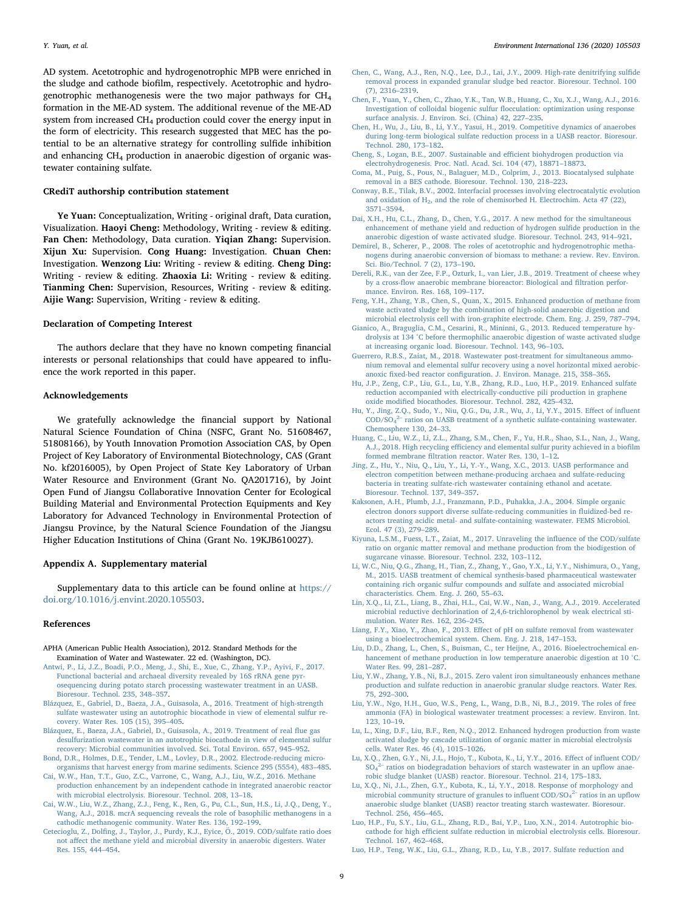AD system. Acetotrophic and hydrogenotrophic MPB were enriched in the sludge and cathode biofilm, respectively. Acetotrophic and hydrogenotrophic methanogenesis were the two major pathways for CH4 formation in the ME-AD system. The additional revenue of the ME-AD system from increased CH<sub>4</sub> production could cover the energy input in the form of electricity. This research suggested that MEC has the potential to be an alternative strategy for controlling sulfide inhibition and enhancing  $CH_4$  production in anaerobic digestion of organic wastewater containing sulfate.

# CRediT authorship contribution statement

Ye Yuan: Conceptualization, Writing - original draft, Data curation, Visualization. Haoyi Cheng: Methodology, Writing - review & editing. Fan Chen: Methodology, Data curation. Yiqian Zhang: Supervision. Xijun Xu: Supervision. Cong Huang: Investigation. Chuan Chen: Investigation. Wenzong Liu: Writing - review & editing. Cheng Ding: Writing - review & editing. Zhaoxia Li: Writing - review & editing. Tianming Chen: Supervision, Resources, Writing - review & editing. Aijie Wang: Supervision, Writing - review & editing.

# Declaration of Competing Interest

The authors declare that they have no known competing financial interests or personal relationships that could have appeared to influence the work reported in this paper.

### Acknowledgements

We gratefully acknowledge the financial support by National Natural Science Foundation of China (NSFC, Grant No. 51608467, 51808166), by Youth Innovation Promotion Association CAS, by Open Project of Key Laboratory of Environmental Biotechnology, CAS (Grant No. kf2016005), by Open Project of State Key Laboratory of Urban Water Resource and Environment (Grant No. QA201716), by Joint Open Fund of Jiangsu Collaborative Innovation Center for Ecological Building Material and Environmental Protection Equipments and Key Laboratory for Advanced Technology in Environmental Protection of Jiangsu Province, by the Natural Science Foundation of the Jiangsu Higher Education Institutions of China (Grant No. 19KJB610027).

### Appendix A. Supplementary material

Supplementary data to this article can be found online at [https://](https://doi.org/10.1016/j.envint.2020.105503) [doi.org/10.1016/j.envint.2020.105503.](https://doi.org/10.1016/j.envint.2020.105503)

### References

- <span id="page-8-11"></span>APHA (American Public Health Association), 2012. Standard Methods for the Examination of Water and Wastewater. 22 ed. (Washington, DC).
- <span id="page-8-19"></span>[Antwi, P., Li, J.Z., Boadi, P.O., Meng, J., Shi, E., Xue, C., Zhang, Y.P., Ayivi, F., 2017.](http://refhub.elsevier.com/S0160-4120(19)34543-X/h0010) [Functional bacterial and archaeal diversity revealed by 16S rRNA gene pyr](http://refhub.elsevier.com/S0160-4120(19)34543-X/h0010)[osequencing during potato starch processing wastewater treatment in an UASB.](http://refhub.elsevier.com/S0160-4120(19)34543-X/h0010) [Bioresour. Technol. 235, 348](http://refhub.elsevier.com/S0160-4120(19)34543-X/h0010)–357.
- <span id="page-8-23"></span>[Blázquez, E., Gabriel, D., Baeza, J.A., Guisasola, A., 2016. Treatment of high-strength](http://refhub.elsevier.com/S0160-4120(19)34543-X/h0015) [sulfate wastewater using an autotrophic biocathode in view of elemental sulfur re](http://refhub.elsevier.com/S0160-4120(19)34543-X/h0015)[covery. Water Res. 105 \(15\), 395](http://refhub.elsevier.com/S0160-4120(19)34543-X/h0015)–405.
- [Blázquez, E., Baeza, J.A., Gabriel, D., Guisasola, A., 2019. Treatment of real](http://refhub.elsevier.com/S0160-4120(19)34543-X/h0020) flue gas [desulfurization wastewater in an autotrophic biocathode in view of elemental sulfur](http://refhub.elsevier.com/S0160-4120(19)34543-X/h0020) [recovery: Microbial communities involved. Sci. Total Environ. 657, 945](http://refhub.elsevier.com/S0160-4120(19)34543-X/h0020)–952.
- <span id="page-8-6"></span>[Bond, D.R., Holmes, D.E., Tender, L.M., Lovley, D.R., 2002. Electrode-reducing micro](http://refhub.elsevier.com/S0160-4120(19)34543-X/h0025)[organisms that harvest energy from marine sediments. Science 295 \(5554\), 483](http://refhub.elsevier.com/S0160-4120(19)34543-X/h0025)–485.
- <span id="page-8-0"></span>[Cai, W.W., Han, T.T., Guo, Z.C., Varrone, C., Wang, A.J., Liu, W.Z., 2016. Methane](http://refhub.elsevier.com/S0160-4120(19)34543-X/h0030) [production enhancement by an independent cathode in integrated anaerobic reactor](http://refhub.elsevier.com/S0160-4120(19)34543-X/h0030) [with microbial electrolysis. Bioresour. Technol. 208, 13](http://refhub.elsevier.com/S0160-4120(19)34543-X/h0030)–18.
- <span id="page-8-22"></span>[Cai, W.W., Liu, W.Z., Zhang, Z.J., Feng, K., Ren, G., Pu, C.L., Sun, H.S., Li, J.Q., Deng, Y.,](http://refhub.elsevier.com/S0160-4120(19)34543-X/h0035) [Wang, A.J., 2018. mcrA sequencing reveals the role of basophilic methanogens in a](http://refhub.elsevier.com/S0160-4120(19)34543-X/h0035) [cathodic methanogenic community. Water Res. 136, 192](http://refhub.elsevier.com/S0160-4120(19)34543-X/h0035)–199.
- <span id="page-8-1"></span>Cetecioglu, Z., Dolfi[ng, J., Taylor, J., Purdy, K.J., Eyice, Ö., 2019. COD/sulfate ratio does](http://refhub.elsevier.com/S0160-4120(19)34543-X/h0040) not aff[ect the methane yield and microbial diversity in anaerobic digesters. Water](http://refhub.elsevier.com/S0160-4120(19)34543-X/h0040) [Res. 155, 444](http://refhub.elsevier.com/S0160-4120(19)34543-X/h0040)–454.
- <span id="page-8-10"></span>[Chen, C., Wang, A.J., Ren, N.Q., Lee, D.J., Lai, J.Y., 2009. High-rate denitrifying sul](http://refhub.elsevier.com/S0160-4120(19)34543-X/h0045)fide [removal process in expanded granular sludge bed reactor. Bioresour. Technol. 100](http://refhub.elsevier.com/S0160-4120(19)34543-X/h0045) [\(7\), 2316](http://refhub.elsevier.com/S0160-4120(19)34543-X/h0045)–2319.
- <span id="page-8-24"></span>[Chen, F., Yuan, Y., Chen, C., Zhao, Y.K., Tan, W.B., Huang, C., Xu, X.J., Wang, A.J., 2016.](http://refhub.elsevier.com/S0160-4120(19)34543-X/h0050) [Investigation of colloidal biogenic sulfur](http://refhub.elsevier.com/S0160-4120(19)34543-X/h0050) flocculation: optimization using response [surface analysis. J. Environ. Sci. \(China\) 42, 227](http://refhub.elsevier.com/S0160-4120(19)34543-X/h0050)–235.
- <span id="page-8-15"></span>[Chen, H., Wu, J., Liu, B., Li, Y.Y., Yasui, H., 2019. Competitive dynamics of anaerobes](http://refhub.elsevier.com/S0160-4120(19)34543-X/h0055) [during long-term biological sulfate reduction process in a UASB reactor. Bioresour.](http://refhub.elsevier.com/S0160-4120(19)34543-X/h0055) [Technol. 280, 173](http://refhub.elsevier.com/S0160-4120(19)34543-X/h0055)–182.
- <span id="page-8-7"></span>[Cheng, S., Logan, B.E., 2007. Sustainable and e](http://refhub.elsevier.com/S0160-4120(19)34543-X/h0060)fficient biohydrogen production via [electrohydrogenesis. Proc. Natl. Acad. Sci. 104 \(47\), 18871](http://refhub.elsevier.com/S0160-4120(19)34543-X/h0060)–18873.
- <span id="page-8-8"></span>[Coma, M., Puig, S., Pous, N., Balaguer, M.D., Colprim, J., 2013. Biocatalysed sulphate](http://refhub.elsevier.com/S0160-4120(19)34543-X/h0065) [removal in a BES cathode. Bioresour. Technol. 130, 218](http://refhub.elsevier.com/S0160-4120(19)34543-X/h0065)–223.
- <span id="page-8-9"></span>[Conway, B.E., Tilak, B.V., 2002. Interfacial processes involving electrocatalytic evolution](http://refhub.elsevier.com/S0160-4120(19)34543-X/h0070) and oxidation of  $H_2$ , and the role of chemisorbed H. Electrochim. Acta 47 (22), 3571–[3594](http://refhub.elsevier.com/S0160-4120(19)34543-X/h0070).
- [Dai, X.H., Hu, C.L., Zhang, D., Chen, Y.G., 2017. A new method for the simultaneous](http://refhub.elsevier.com/S0160-4120(19)34543-X/h0075) [enhancement of methane yield and reduction of hydrogen sul](http://refhub.elsevier.com/S0160-4120(19)34543-X/h0075)fide production in the [anaerobic digestion of waste activated sludge. Bioresour. Technol. 243, 914](http://refhub.elsevier.com/S0160-4120(19)34543-X/h0075)–921.
- <span id="page-8-21"></span>[Demirel, B., Scherer, P., 2008. The roles of acetotrophic and hydrogenotrophic metha](http://refhub.elsevier.com/S0160-4120(19)34543-X/h0080)[nogens during anaerobic conversion of biomass to methane: a review. Rev. Environ.](http://refhub.elsevier.com/S0160-4120(19)34543-X/h0080) [Sci. Bio/Technol. 7 \(2\), 173](http://refhub.elsevier.com/S0160-4120(19)34543-X/h0080)–190.
- [Dereli, R.K., van der Zee, F.P., Ozturk, I., van Lier, J.B., 2019. Treatment of cheese whey](http://refhub.elsevier.com/S0160-4120(19)34543-X/h0085) by a cross-fl[ow anaerobic membrane bioreactor: Biological and](http://refhub.elsevier.com/S0160-4120(19)34543-X/h0085) filtration perfor[mance. Environ. Res. 168, 109](http://refhub.elsevier.com/S0160-4120(19)34543-X/h0085)–117.
- <span id="page-8-13"></span>[Feng, Y.H., Zhang, Y.B., Chen, S., Quan, X., 2015. Enhanced production of methane from](http://refhub.elsevier.com/S0160-4120(19)34543-X/h0090) [waste activated sludge by the combination of high-solid anaerobic digestion and](http://refhub.elsevier.com/S0160-4120(19)34543-X/h0090) [microbial electrolysis cell with iron-graphite electrode. Chem. Eng. J. 259, 787](http://refhub.elsevier.com/S0160-4120(19)34543-X/h0090)–794.
- <span id="page-8-12"></span>[Gianico, A., Braguglia, C.M., Cesarini, R., Mininni, G., 2013. Reduced temperature hy](http://refhub.elsevier.com/S0160-4120(19)34543-X/h0095)[drolysis at 134 °C before thermophilic anaerobic digestion of waste activated sludge](http://refhub.elsevier.com/S0160-4120(19)34543-X/h0095) [at increasing organic load. Bioresour. Technol. 143, 96](http://refhub.elsevier.com/S0160-4120(19)34543-X/h0095)–103.
- [Guerrero, R.B.S., Zaiat, M., 2018. Wastewater post-treatment for simultaneous ammo](http://refhub.elsevier.com/S0160-4120(19)34543-X/h0100)[nium removal and elemental sulfur recovery using a novel horizontal mixed aerobic](http://refhub.elsevier.com/S0160-4120(19)34543-X/h0100)anoxic fixed-bed reactor confi[guration. J. Environ. Manage. 215, 358](http://refhub.elsevier.com/S0160-4120(19)34543-X/h0100)–365.
- [Hu, J.P., Zeng, C.P., Liu, G.L., Lu, Y.B., Zhang, R.D., Luo, H.P., 2019. Enhanced sulfate](http://refhub.elsevier.com/S0160-4120(19)34543-X/h0105) [reduction accompanied with electrically-conductive pili production in graphene](http://refhub.elsevier.com/S0160-4120(19)34543-X/h0105) oxide modifi[ed biocathodes. Bioresour. Technol. 282, 425](http://refhub.elsevier.com/S0160-4120(19)34543-X/h0105)–432.
- <span id="page-8-3"></span>[Hu, Y., Jing, Z.Q., Sudo, Y., Niu, Q.G., Du, J.R., Wu, J., Li, Y.Y., 2015. E](http://refhub.elsevier.com/S0160-4120(19)34543-X/h0110)ffect of influent COD/SO4 <sup>2</sup>– [ratios on UASB treatment of a synthetic sulfate-containing wastewater.](http://refhub.elsevier.com/S0160-4120(19)34543-X/h0110) [Chemosphere 130, 24](http://refhub.elsevier.com/S0160-4120(19)34543-X/h0110)–33.
- [Huang, C., Liu, W.Z., Li, Z.L., Zhang, S.M., Chen, F., Yu, H.R., Shao, S.L., Nan, J., Wang,](http://refhub.elsevier.com/S0160-4120(19)34543-X/h0115) A.J., 2018. High recycling effi[ciency and elemental sulfur purity achieved in a bio](http://refhub.elsevier.com/S0160-4120(19)34543-X/h0115)film formed membrane fi[ltration reactor. Water Res. 130, 1](http://refhub.elsevier.com/S0160-4120(19)34543-X/h0115)–12. [Jing, Z., Hu, Y., Niu, Q., Liu, Y., Li, Y.-Y., Wang, X.C., 2013. UASB performance and](http://refhub.elsevier.com/S0160-4120(19)34543-X/h0120)
- <span id="page-8-16"></span>[electron competition between methane-producing archaea and sulfate-reducing](http://refhub.elsevier.com/S0160-4120(19)34543-X/h0120) [bacteria in treating sulfate-rich wastewater containing ethanol and acetate.](http://refhub.elsevier.com/S0160-4120(19)34543-X/h0120) [Bioresour. Technol. 137, 349](http://refhub.elsevier.com/S0160-4120(19)34543-X/h0120)–357.
- <span id="page-8-20"></span>[Kaksonen, A.H., Plumb, J.J., Franzmann, P.D., Puhakka, J.A., 2004. Simple organic](http://refhub.elsevier.com/S0160-4120(19)34543-X/h0125) [electron donors support diverse sulfate-reducing communities in](http://refhub.elsevier.com/S0160-4120(19)34543-X/h0125) fluidized-bed re[actors treating acidic metal- and sulfate-containing wastewater. FEMS Microbiol.](http://refhub.elsevier.com/S0160-4120(19)34543-X/h0125) [Ecol. 47 \(3\), 279](http://refhub.elsevier.com/S0160-4120(19)34543-X/h0125)–289.
- [Kiyuna, L.S.M., Fuess, L.T., Zaiat, M., 2017. Unraveling the in](http://refhub.elsevier.com/S0160-4120(19)34543-X/h0130)fluence of the COD/sulfate [ratio on organic matter removal and methane production from the biodigestion of](http://refhub.elsevier.com/S0160-4120(19)34543-X/h0130) [sugarcane vinasse. Bioresour. Technol. 232, 103](http://refhub.elsevier.com/S0160-4120(19)34543-X/h0130)–112.
- <span id="page-8-5"></span>[Li, W.C., Niu, Q.G., Zhang, H., Tian, Z., Zhang, Y., Gao, Y.X., Li, Y.Y., Nishimura, O., Yang,](http://refhub.elsevier.com/S0160-4120(19)34543-X/h0135) M., 2015. UASB treatment of chemical synthesis-based pharmaceutical wastewate [containing rich organic sulfur compounds and sulfate and associated microbial](http://refhub.elsevier.com/S0160-4120(19)34543-X/h0135) [characteristics. Chem. Eng. J. 260, 55](http://refhub.elsevier.com/S0160-4120(19)34543-X/h0135)–63.
- [Lin, X.Q., Li, Z.L., Liang, B., Zhai, H.L., Cai, W.W., Nan, J., Wang, A.J., 2019. Accelerated](http://refhub.elsevier.com/S0160-4120(19)34543-X/h0140) [microbial reductive dechlorination of 2,4,6-trichlorophenol by weak electrical sti](http://refhub.elsevier.com/S0160-4120(19)34543-X/h0140)[mulation. Water Res. 162, 236](http://refhub.elsevier.com/S0160-4120(19)34543-X/h0140)–245.
- <span id="page-8-14"></span>Liang, F.Y., Xiao, Y., Zhao, F., 2013. Eff[ect of pH on sulfate removal from wastewater](http://refhub.elsevier.com/S0160-4120(19)34543-X/h0145) [using a bioelectrochemical system. Chem. Eng. J. 218, 147](http://refhub.elsevier.com/S0160-4120(19)34543-X/h0145)–153.
- [Liu, D.D., Zhang, L., Chen, S., Buisman, C., ter Heijne, A., 2016. Bioelectrochemical en](http://refhub.elsevier.com/S0160-4120(19)34543-X/h0150)[hancement of methane production in low temperature anaerobic digestion at 10 °C.](http://refhub.elsevier.com/S0160-4120(19)34543-X/h0150) [Water Res. 99, 281](http://refhub.elsevier.com/S0160-4120(19)34543-X/h0150)–287.
- <span id="page-8-2"></span>[Liu, Y.W., Zhang, Y.B., Ni, B.J., 2015. Zero valent iron simultaneously enhances methane](http://refhub.elsevier.com/S0160-4120(19)34543-X/h0155) [production and sulfate reduction in anaerobic granular sludge reactors. Water Res.](http://refhub.elsevier.com/S0160-4120(19)34543-X/h0155) [75, 292](http://refhub.elsevier.com/S0160-4120(19)34543-X/h0155)–300.
- <span id="page-8-26"></span>[Liu, Y.W., Ngo, H.H., Guo, W.S., Peng, L., Wang, D.B., Ni, B.J., 2019. The roles of free](http://refhub.elsevier.com/S0160-4120(19)34543-X/h0160) [ammonia \(FA\) in biological wastewater treatment processes: a review. Environ. Int.](http://refhub.elsevier.com/S0160-4120(19)34543-X/h0160) [123, 10](http://refhub.elsevier.com/S0160-4120(19)34543-X/h0160)–19.
- <span id="page-8-18"></span>[Lu, L., Xing, D.F., Liu, B.F., Ren, N.Q., 2012. Enhanced hydrogen production from waste](http://refhub.elsevier.com/S0160-4120(19)34543-X/h0165) [activated sludge by cascade utilization of organic matter in microbial electrolysis](http://refhub.elsevier.com/S0160-4120(19)34543-X/h0165) [cells. Water Res. 46 \(4\), 1015](http://refhub.elsevier.com/S0160-4120(19)34543-X/h0165)–1026.
- <span id="page-8-17"></span>[Lu, X.Q., Zhen, G.Y., Ni, J.L., Hojo, T., Kubota, K., Li, Y.Y., 2016. E](http://refhub.elsevier.com/S0160-4120(19)34543-X/h0170)ffect of influent COD/ SO4 <sup>2</sup>– [ratios on biodegradation behaviors of starch wastewater in an up](http://refhub.elsevier.com/S0160-4120(19)34543-X/h0170)flow anae[robic sludge blanket \(UASB\) reactor. Bioresour. Technol. 214, 175](http://refhub.elsevier.com/S0160-4120(19)34543-X/h0170)–183.
- <span id="page-8-4"></span>[Lu, X.Q., Ni, J.L., Zhen, G.Y., Kubota, K., Li, Y.Y., 2018. Response of morphology and](http://refhub.elsevier.com/S0160-4120(19)34543-X/h0175) [microbial community structure of granules to in](http://refhub.elsevier.com/S0160-4120(19)34543-X/h0175)fluent  $\text{COD/SO}_4^2$  ratios in an upflow [anaerobic sludge blanket \(UASB\) reactor treating starch wastewater. Bioresour.](http://refhub.elsevier.com/S0160-4120(19)34543-X/h0175) [Technol. 256, 456](http://refhub.elsevier.com/S0160-4120(19)34543-X/h0175)–465.
- <span id="page-8-25"></span>[Luo, H.P., Fu, S.Y., Liu, G.L., Zhang, R.D., Bai, Y.P., Luo, X.N., 2014. Autotrophic bio](http://refhub.elsevier.com/S0160-4120(19)34543-X/h0180)cathode for high effi[cient sulfate reduction in microbial electrolysis cells. Bioresour.](http://refhub.elsevier.com/S0160-4120(19)34543-X/h0180) [Technol. 167, 462](http://refhub.elsevier.com/S0160-4120(19)34543-X/h0180)–468.
- [Luo, H.P., Teng, W.K., Liu, G.L., Zhang, R.D., Lu, Y.B., 2017. Sulfate reduction and](http://refhub.elsevier.com/S0160-4120(19)34543-X/h0185)